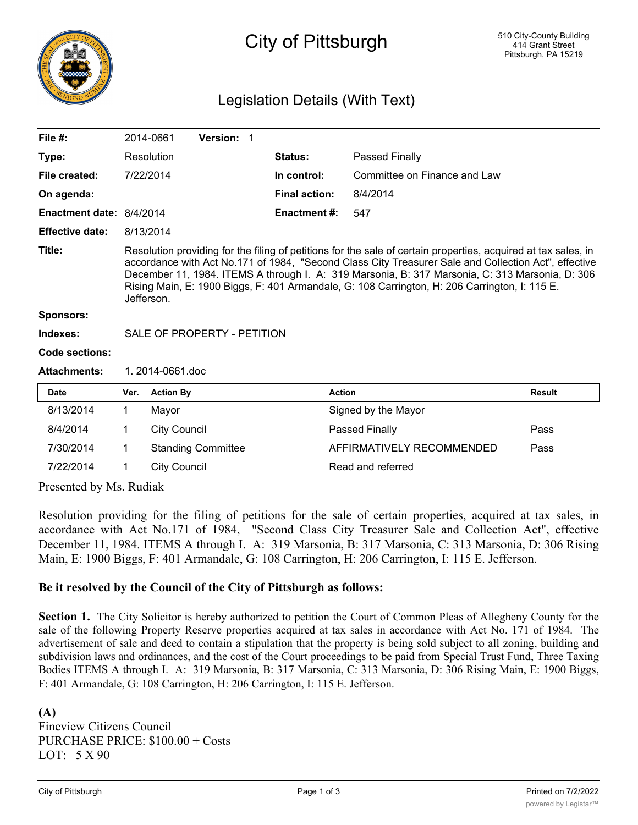

# City of Pittsburgh

# Legislation Details (With Text)

| File $#$ :                                                |                                                                                                                                                                                                                                                                                                                                                                                                                                          | 2014-0661           | Version: 1                |  |                      |                              |               |
|-----------------------------------------------------------|------------------------------------------------------------------------------------------------------------------------------------------------------------------------------------------------------------------------------------------------------------------------------------------------------------------------------------------------------------------------------------------------------------------------------------------|---------------------|---------------------------|--|----------------------|------------------------------|---------------|
| Type:                                                     |                                                                                                                                                                                                                                                                                                                                                                                                                                          | Resolution          |                           |  | Status:              | Passed Finally               |               |
| File created:                                             |                                                                                                                                                                                                                                                                                                                                                                                                                                          | 7/22/2014           |                           |  | In control:          | Committee on Finance and Law |               |
| On agenda:                                                |                                                                                                                                                                                                                                                                                                                                                                                                                                          |                     |                           |  | <b>Final action:</b> | 8/4/2014                     |               |
| Enactment date: 8/4/2014                                  |                                                                                                                                                                                                                                                                                                                                                                                                                                          |                     |                           |  | <b>Enactment#:</b>   | 547                          |               |
| <b>Effective date:</b>                                    |                                                                                                                                                                                                                                                                                                                                                                                                                                          | 8/13/2014           |                           |  |                      |                              |               |
| Title:                                                    | Resolution providing for the filing of petitions for the sale of certain properties, acquired at tax sales, in<br>accordance with Act No.171 of 1984, "Second Class City Treasurer Sale and Collection Act", effective<br>December 11, 1984. ITEMS A through I. A: 319 Marsonia, B: 317 Marsonia, C: 313 Marsonia, D: 306<br>Rising Main, E: 1900 Biggs, F: 401 Armandale, G: 108 Carrington, H: 206 Carrington, I: 115 E.<br>Jefferson. |                     |                           |  |                      |                              |               |
| <b>Sponsors:</b>                                          |                                                                                                                                                                                                                                                                                                                                                                                                                                          |                     |                           |  |                      |                              |               |
| Indexes:                                                  | SALE OF PROPERTY - PETITION                                                                                                                                                                                                                                                                                                                                                                                                              |                     |                           |  |                      |                              |               |
| Code sections:                                            |                                                                                                                                                                                                                                                                                                                                                                                                                                          |                     |                           |  |                      |                              |               |
| <b>Attachments:</b>                                       | 1.2014-0661.doc                                                                                                                                                                                                                                                                                                                                                                                                                          |                     |                           |  |                      |                              |               |
| Date                                                      | Ver.                                                                                                                                                                                                                                                                                                                                                                                                                                     | <b>Action By</b>    |                           |  |                      | <b>Action</b>                | <b>Result</b> |
| 8/13/2014                                                 | 1                                                                                                                                                                                                                                                                                                                                                                                                                                        | Mayor               |                           |  |                      | Signed by the Mayor          |               |
| 8/4/2014                                                  | 1                                                                                                                                                                                                                                                                                                                                                                                                                                        | <b>City Council</b> |                           |  |                      | Passed Finally               | Pass          |
| 7/30/2014                                                 | 1                                                                                                                                                                                                                                                                                                                                                                                                                                        |                     | <b>Standing Committee</b> |  |                      | AFFIRMATIVELY RECOMMENDED    | Pass          |
| 7/22/2014                                                 | 1                                                                                                                                                                                                                                                                                                                                                                                                                                        | <b>City Council</b> |                           |  |                      | Read and referred            |               |
| $D_{\text{roconst}}$ by $M_{\text{c}}$ $D_{\text{udisk}}$ |                                                                                                                                                                                                                                                                                                                                                                                                                                          |                     |                           |  |                      |                              |               |

Presented by Ms. Rudiak

Resolution providing for the filing of petitions for the sale of certain properties, acquired at tax sales, in accordance with Act No.171 of 1984, "Second Class City Treasurer Sale and Collection Act", effective December 11, 1984. ITEMS A through I. A: 319 Marsonia, B: 317 Marsonia, C: 313 Marsonia, D: 306 Rising Main, E: 1900 Biggs, F: 401 Armandale, G: 108 Carrington, H: 206 Carrington, I: 115 E. Jefferson.

#### **Be it resolved by the Council of the City of Pittsburgh as follows:**

**Section 1.** The City Solicitor is hereby authorized to petition the Court of Common Pleas of Allegheny County for the sale of the following Property Reserve properties acquired at tax sales in accordance with Act No. 171 of 1984. The advertisement of sale and deed to contain a stipulation that the property is being sold subject to all zoning, building and subdivision laws and ordinances, and the cost of the Court proceedings to be paid from Special Trust Fund, Three Taxing Bodies ITEMS A through I. A: 319 Marsonia, B: 317 Marsonia, C: 313 Marsonia, D: 306 Rising Main, E: 1900 Biggs, F: 401 Armandale, G: 108 Carrington, H: 206 Carrington, I: 115 E. Jefferson.

**(A)** Fineview Citizens Council PURCHASE PRICE: \$100.00 + Costs LOT: 5 X 90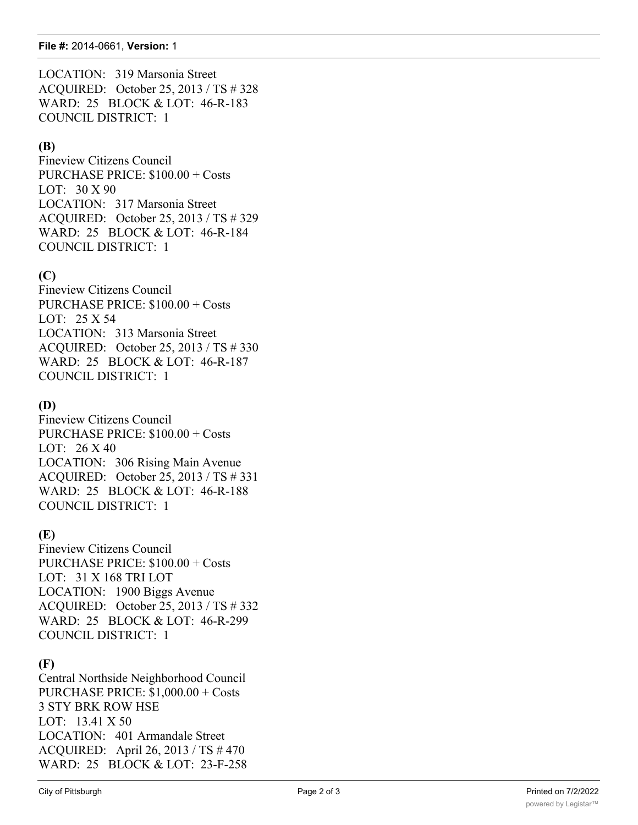LOCATION: 319 Marsonia Street ACQUIRED: October 25, 2013 / TS # 328 WARD: 25 BLOCK & LOT: 46-R-183 COUNCIL DISTRICT: 1

# **(B)**

Fineview Citizens Council PURCHASE PRICE: \$100.00 + Costs LOT: 30 X 90 LOCATION: 317 Marsonia Street ACQUIRED: October 25, 2013 / TS # 329 WARD: 25 BLOCK & LOT: 46-R-184 COUNCIL DISTRICT: 1

# **(C)**

Fineview Citizens Council PURCHASE PRICE: \$100.00 + Costs LOT: 25 X 54 LOCATION: 313 Marsonia Street ACQUIRED: October 25, 2013 / TS # 330 WARD: 25 BLOCK & LOT: 46-R-187 COUNCIL DISTRICT: 1

### **(D)**

Fineview Citizens Council PURCHASE PRICE: \$100.00 + Costs LOT: 26 X 40 LOCATION: 306 Rising Main Avenue ACQUIRED: October 25, 2013 / TS # 331 WARD: 25 BLOCK & LOT: 46-R-188 COUNCIL DISTRICT: 1

#### **(E)**

Fineview Citizens Council PURCHASE PRICE: \$100.00 + Costs LOT: 31 X 168 TRI LOT LOCATION: 1900 Biggs Avenue ACQUIRED: October 25, 2013 / TS # 332 WARD: 25 BLOCK & LOT: 46-R-299 COUNCIL DISTRICT: 1

#### **(F)**

Central Northside Neighborhood Council PURCHASE PRICE: \$1,000.00 + Costs 3 STY BRK ROW HSE LOT: 13.41 X 50 LOCATION: 401 Armandale Street ACQUIRED: April 26, 2013 / TS # 470 WARD: 25 BLOCK & LOT: 23-F-258